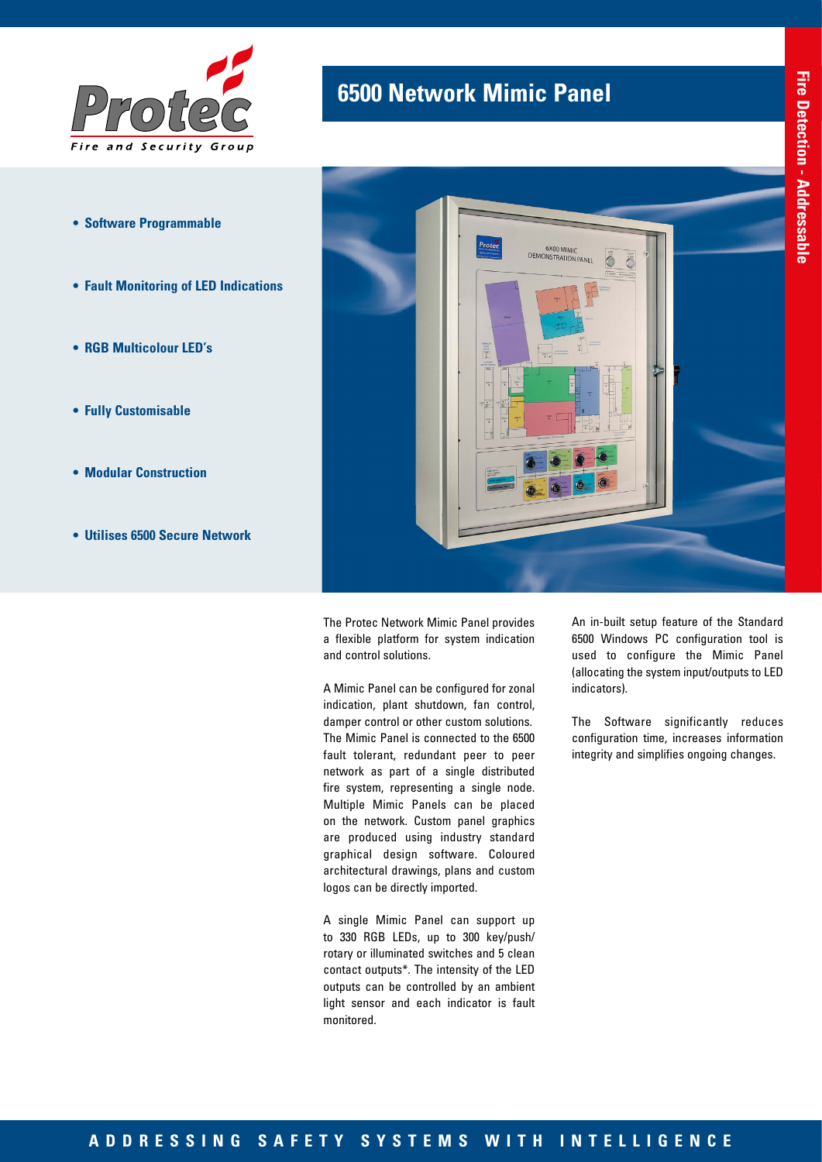

- **• Software Programmable**
- **• Fault Monitoring of LED Indications**
- **• RGB Multicolour LED's**
- **• Fully Customisable**
- **• Modular Construction**
- **• Utilises 6500 Secure Network**

## **6500 Network Mimic Panel**



The Protec Network Mimic Panel provides a flexible platform for system indication and control solutions.

A Mimic Panel can be configured for zonal indication, plant shutdown, fan control, damper control or other custom solutions. The Mimic Panel is connected to the 6500 fault tolerant, redundant peer to peer network as part of a single distributed fire system, representing a single node. Multiple Mimic Panels can be placed on the network. Custom panel graphics are produced using industry standard graphical design software. Coloured architectural drawings, plans and custom logos can be directly imported.

A single Mimic Panel can support up to 330 RGB LEDs, up to 300 key/push/ rotary or illuminated switches and 5 clean contact outputs\*. The intensity of the LED outputs can be controlled by an ambient light sensor and each indicator is fault monitored.

An in-built setup feature of the Standard 6500 Windows PC configuration tool is used to configure the Mimic Panel (allocating the system input/outputs to LED indicators).

The Software significantly reduces configuration time, increases information integrity and simplifies ongoing changes.